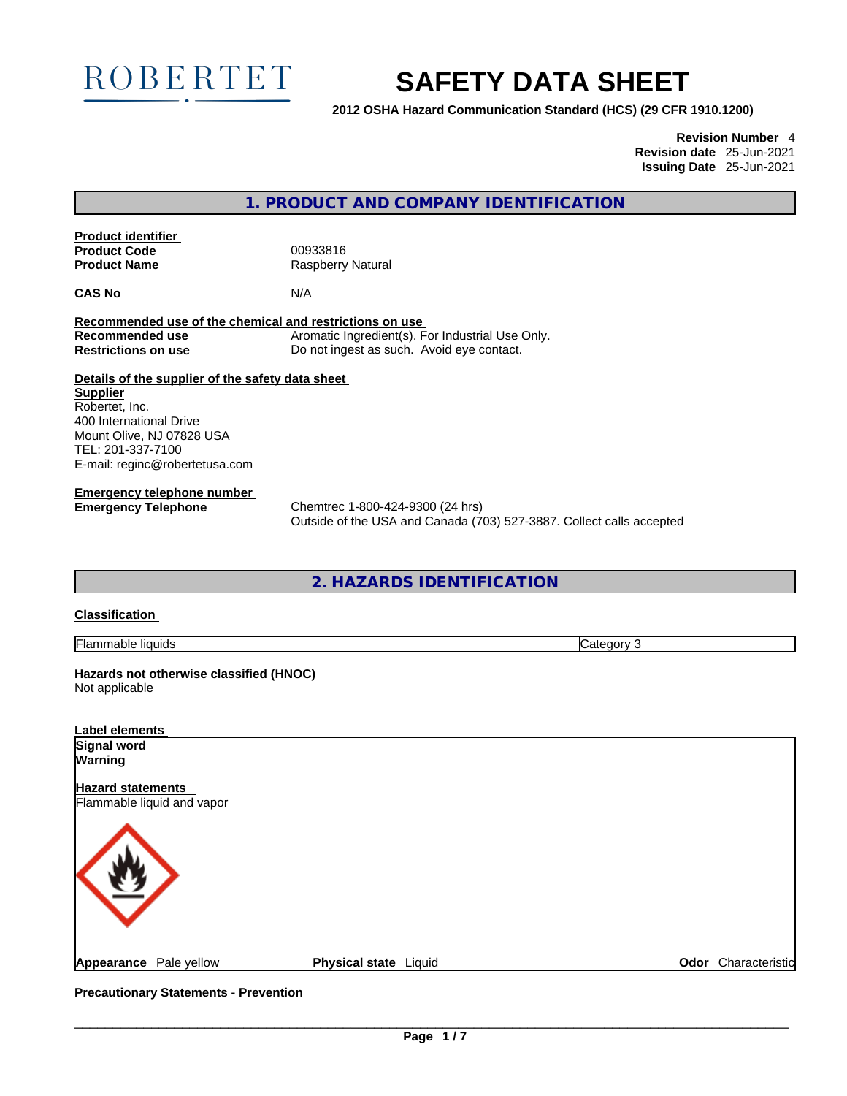

# **SAFETY DATA SHEET**

**2012 OSHA Hazard Communication Standard (HCS) (29 CFR 1910.1200)**

**Revision Number** 4 **Revision date** 25-Jun-2021 **Issuing Date** 25-Jun-2021

**1. PRODUCT AND COMPANY IDENTIFICATION** 

**Product identifier Product Code** 00933816<br> **Product Name** Raspberry

**Raspberry Natural** 

**CAS No** N/A

**Recommended use of the chemical and restrictions on use Recommended use** Aromatic Ingredient(s). For Industrial Use Only. **Restrictions on use** Do not ingest as such. Avoid eye contact.

**Details of the supplier of the safety data sheet Supplier** Robertet, Inc. 400 International Drive Mount Olive, NJ 07828 USA TEL: 201-337-7100 E-mail: reginc@robertetusa.com

**Emergency telephone number**

**Emergency Telephone** Chemtrec 1-800-424-9300 (24 hrs) Outside of the USA and Canada (703) 527-3887. Collect calls accepted

**2. HAZARDS IDENTIFICATION** 

# **Classification**

Flammable liquids Category 3

**Hazards not otherwise classified (HNOC)**  Not applicable

| <b>Label elements</b>                                  |                       |                     |
|--------------------------------------------------------|-----------------------|---------------------|
| Signal word<br>Warning                                 |                       |                     |
| <b>Hazard statements</b><br>Flammable liquid and vapor |                       |                     |
|                                                        |                       |                     |
| Appearance Pale yellow                                 | Physical state Liquid | Odor Characteristic |
|                                                        |                       |                     |

**Precautionary Statements - Prevention**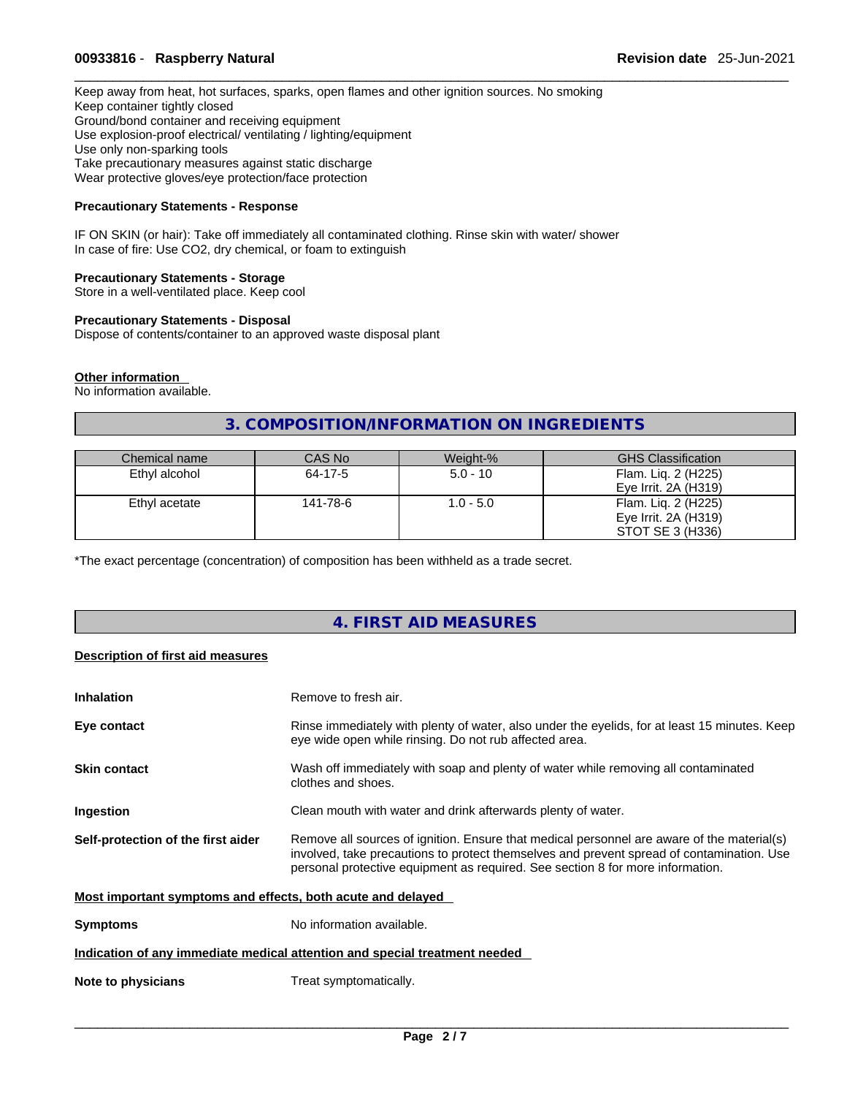# \_\_\_\_\_\_\_\_\_\_\_\_\_\_\_\_\_\_\_\_\_\_\_\_\_\_\_\_\_\_\_\_\_\_\_\_\_\_\_\_\_\_\_\_\_\_\_\_\_\_\_\_\_\_\_\_\_\_\_\_\_\_\_\_\_\_\_\_\_\_\_\_\_\_\_\_\_\_\_\_\_\_\_\_\_\_\_\_\_\_\_\_\_ **00933816** - **Raspberry Natural Revision date** 25-Jun-2021

Keep away from heat, hot surfaces, sparks, open flames and other ignition sources. No smoking Keep container tightly closed Ground/bond container and receiving equipment Use explosion-proof electrical/ ventilating / lighting/equipment Use only non-sparking tools Take precautionary measures against static discharge Wear protective gloves/eye protection/face protection

## **Precautionary Statements - Response**

IF ON SKIN (or hair): Take off immediately all contaminated clothing. Rinse skin with water/ shower In case of fire: Use CO2, dry chemical, or foam to extinguish

#### **Precautionary Statements - Storage**

Store in a well-ventilated place. Keep cool

## **Precautionary Statements - Disposal**

Dispose of contents/container to an approved waste disposal plant

#### **Other information**

No information available.

# **3. COMPOSITION/INFORMATION ON INGREDIENTS**

| Chemical name | CAS No   | Weight-%    | <b>GHS Classification</b> |
|---------------|----------|-------------|---------------------------|
| Ethyl alcohol | 64-17-5  | $5.0 - 10$  | Flam. Lig. 2 (H225)       |
|               |          |             | Eye Irrit. $2A(H319)$     |
| Ethyl acetate | 141-78-6 | $1.0 - 5.0$ | Flam. Lig. 2 (H225)       |
|               |          |             | Eye Irrit. $2A(H319)$     |
|               |          |             | STOT SE 3 (H336)          |

\*The exact percentage (concentration) of composition has been withheld as a trade secret.

# **4. FIRST AID MEASURES**

# **Description of first aid measures**

| <b>Inhalation</b>                                           | Remove to fresh air.                                                                                                                                                                                                                                                      |
|-------------------------------------------------------------|---------------------------------------------------------------------------------------------------------------------------------------------------------------------------------------------------------------------------------------------------------------------------|
| Eye contact                                                 | Rinse immediately with plenty of water, also under the eyelids, for at least 15 minutes. Keep<br>eye wide open while rinsing. Do not rub affected area.                                                                                                                   |
| <b>Skin contact</b>                                         | Wash off immediately with soap and plenty of water while removing all contaminated<br>clothes and shoes.                                                                                                                                                                  |
| Ingestion                                                   | Clean mouth with water and drink afterwards plenty of water.                                                                                                                                                                                                              |
| Self-protection of the first aider                          | Remove all sources of ignition. Ensure that medical personnel are aware of the material(s)<br>involved, take precautions to protect themselves and prevent spread of contamination. Use<br>personal protective equipment as required. See section 8 for more information. |
| Most important symptoms and effects, both acute and delayed |                                                                                                                                                                                                                                                                           |
| <b>Symptoms</b>                                             | No information available.                                                                                                                                                                                                                                                 |
|                                                             | Indication of any immediate medical attention and special treatment needed                                                                                                                                                                                                |
| Note to physicians                                          | Treat symptomatically.                                                                                                                                                                                                                                                    |
|                                                             |                                                                                                                                                                                                                                                                           |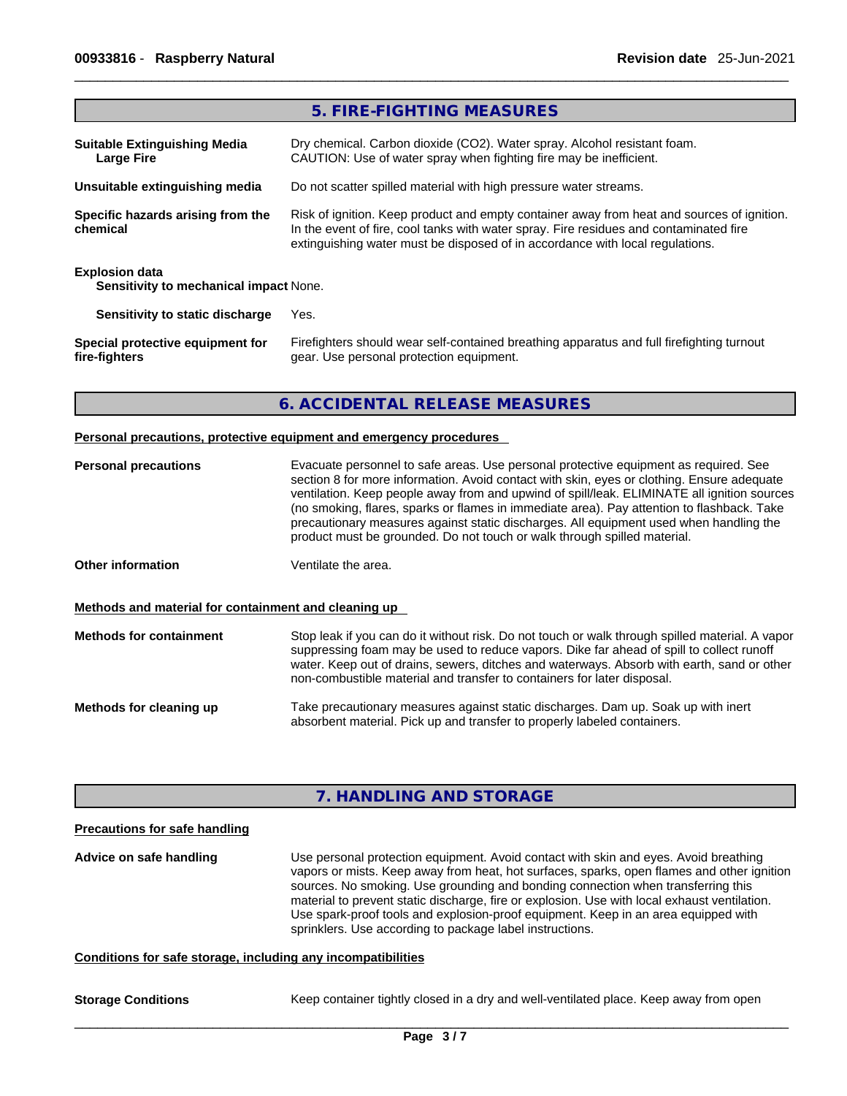**fire-fighters**

|                                                                        | 5. FIRE-FIGHTING MEASURES                                                                                                                                                                                                                                             |
|------------------------------------------------------------------------|-----------------------------------------------------------------------------------------------------------------------------------------------------------------------------------------------------------------------------------------------------------------------|
| <b>Suitable Extinguishing Media</b><br><b>Large Fire</b>               | Dry chemical. Carbon dioxide (CO2). Water spray. Alcohol resistant foam.<br>CAUTION: Use of water spray when fighting fire may be inefficient.                                                                                                                        |
| Unsuitable extinguishing media                                         | Do not scatter spilled material with high pressure water streams.                                                                                                                                                                                                     |
| Specific hazards arising from the<br>chemical                          | Risk of ignition. Keep product and empty container away from heat and sources of ignition.<br>In the event of fire, cool tanks with water spray. Fire residues and contaminated fire<br>extinguishing water must be disposed of in accordance with local regulations. |
| <b>Explosion data</b><br><b>Sensitivity to mechanical impact None.</b> |                                                                                                                                                                                                                                                                       |
| Sensitivity to static discharge                                        | Yes.                                                                                                                                                                                                                                                                  |
| Special protective equipment for                                       | Firefighters should wear self-contained breathing apparatus and full firefighting turnout                                                                                                                                                                             |

# **6. ACCIDENTAL RELEASE MEASURES**

gear. Use personal protection equipment.

#### **Personal precautions, protective equipment and emergency procedures**

| <b>Personal precautions</b>                          | Evacuate personnel to safe areas. Use personal protective equipment as required. See<br>section 8 for more information. Avoid contact with skin, eyes or clothing. Ensure adequate<br>ventilation. Keep people away from and upwind of spill/leak. ELIMINATE all ignition sources<br>(no smoking, flares, sparks or flames in immediate area). Pay attention to flashback. Take<br>precautionary measures against static discharges. All equipment used when handling the<br>product must be grounded. Do not touch or walk through spilled material. |
|------------------------------------------------------|-------------------------------------------------------------------------------------------------------------------------------------------------------------------------------------------------------------------------------------------------------------------------------------------------------------------------------------------------------------------------------------------------------------------------------------------------------------------------------------------------------------------------------------------------------|
| Other information                                    | Ventilate the area.                                                                                                                                                                                                                                                                                                                                                                                                                                                                                                                                   |
| Methods and material for containment and cleaning up |                                                                                                                                                                                                                                                                                                                                                                                                                                                                                                                                                       |
| <b>Methods for containment</b>                       | Stop leak if you can do it without risk. Do not touch or walk through spilled material. A vapor<br>suppressing foam may be used to reduce vapors. Dike far ahead of spill to collect runoff<br>water. Keep out of drains, sewers, ditches and waterways. Absorb with earth, sand or other<br>non-combustible material and transfer to containers for later disposal.                                                                                                                                                                                  |
| Methods for cleaning up                              | Take precautionary measures against static discharges. Dam up. Soak up with inert<br>absorbent material. Pick up and transfer to properly labeled containers.                                                                                                                                                                                                                                                                                                                                                                                         |

# **7. HANDLING AND STORAGE**

#### **Precautions for safe handling**

**Advice on safe handling** Use personal protection equipment.Avoid contact with skin and eyes. Avoid breathing vapors or mists. Keep away from heat, hot surfaces, sparks, open flames and other ignition sources. No smoking. Use grounding and bonding connection when transferring this material to prevent static discharge, fire or explosion. Use with local exhaust ventilation. Use spark-proof tools and explosion-proof equipment. Keep in an area equipped with sprinklers. Use according to package label instructions.

# **Conditions for safe storage, including any incompatibilities**

**Storage Conditions** Keep container tightly closed in a dry and well-ventilated place. Keep away from open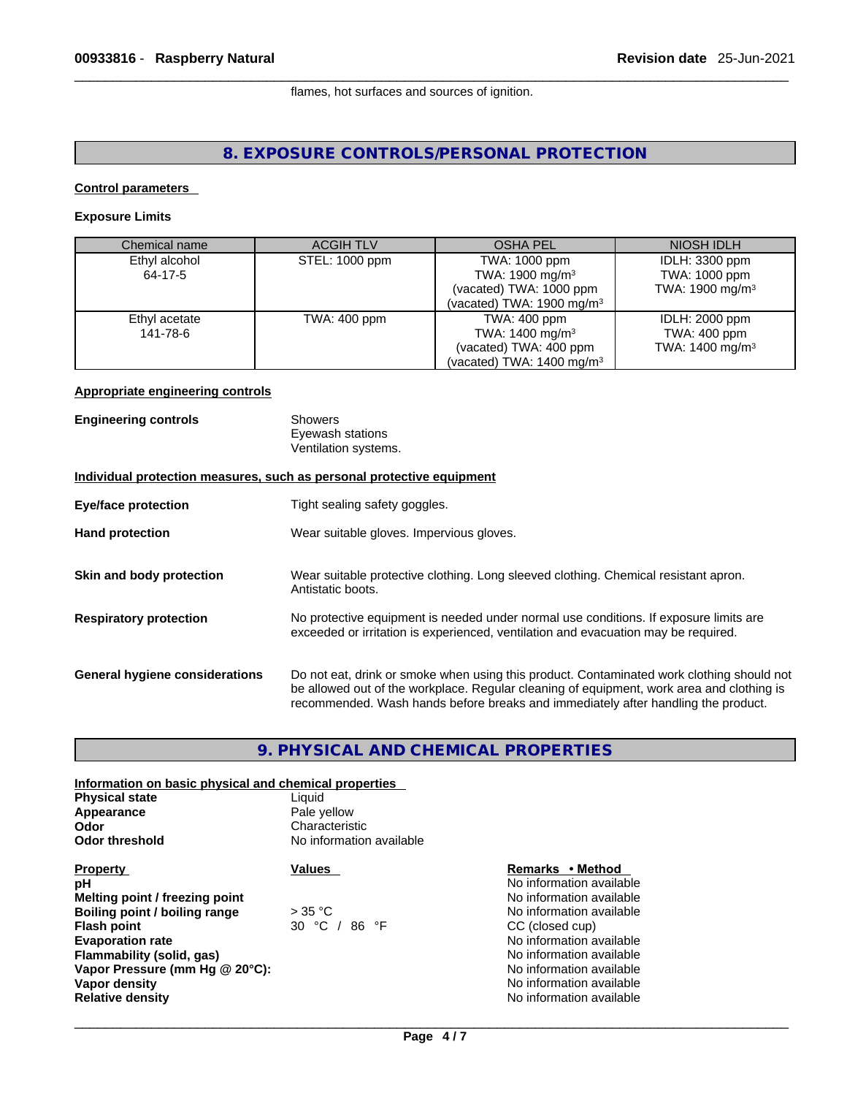flames, hot surfaces and sources of ignition.

# **8. EXPOSURE CONTROLS/PERSONAL PROTECTION**

## **Control parameters**

## **Exposure Limits**

| Chemical name | <b>ACGIH TLV</b> | OSHA PEL                             | NIOSH IDLH                  |
|---------------|------------------|--------------------------------------|-----------------------------|
| Ethyl alcohol | STEL: 1000 ppm   | TWA: 1000 ppm                        | IDLH: 3300 ppm              |
| 64-17-5       |                  | TWA: 1900 mg/m $3$                   | TWA: 1000 ppm               |
|               |                  | (vacated) TWA: 1000 ppm              | TWA: 1900 mg/m <sup>3</sup> |
|               |                  | (vacated) TWA: 1900 mg/m $3$         |                             |
| Ethyl acetate | TWA: 400 ppm     | TWA: 400 ppm                         | IDLH: 2000 ppm              |
| 141-78-6      |                  | TWA: $1400 \text{ mg/m}^3$           | TWA: 400 ppm                |
|               |                  | (vacated) TWA: 400 ppm               | TWA: 1400 mg/m <sup>3</sup> |
|               |                  | (vacated) TWA: $1400 \text{ mg/m}^3$ |                             |

## **Appropriate engineering controls**

| <b>Engineering controls</b>    | Showers<br>Eyewash stations<br>Ventilation systems.                                                                                                                                                                                                                         |
|--------------------------------|-----------------------------------------------------------------------------------------------------------------------------------------------------------------------------------------------------------------------------------------------------------------------------|
|                                | Individual protection measures, such as personal protective equipment                                                                                                                                                                                                       |
| <b>Eye/face protection</b>     | Tight sealing safety goggles.                                                                                                                                                                                                                                               |
| <b>Hand protection</b>         | Wear suitable gloves. Impervious gloves.                                                                                                                                                                                                                                    |
| Skin and body protection       | Wear suitable protective clothing. Long sleeved clothing. Chemical resistant apron.<br>Antistatic boots.                                                                                                                                                                    |
| <b>Respiratory protection</b>  | No protective equipment is needed under normal use conditions. If exposure limits are<br>exceeded or irritation is experienced, ventilation and evacuation may be required.                                                                                                 |
| General hygiene considerations | Do not eat, drink or smoke when using this product. Contaminated work clothing should not<br>be allowed out of the workplace. Regular cleaning of equipment, work area and clothing is<br>recommended. Wash hands before breaks and immediately after handling the product. |

# **9. PHYSICAL AND CHEMICAL PROPERTIES**

| Information on basic physical and chemical properties |                          |                          |
|-------------------------------------------------------|--------------------------|--------------------------|
| <b>Physical state</b>                                 | Liauid                   |                          |
| Appearance                                            | Pale yellow              |                          |
| Odor                                                  | Characteristic           |                          |
| <b>Odor threshold</b>                                 | No information available |                          |
| <b>Property</b>                                       | Values                   | Remarks • Method         |
| рH                                                    |                          | No information available |
| Melting point / freezing point                        |                          | No information available |
| Boiling point / boiling range                         | $>$ 35 °C                | No information available |
| <b>Flash point</b>                                    | 30 °C / 86 °F            | CC (closed cup)          |
| <b>Evaporation rate</b>                               |                          | No information available |
| Flammability (solid, gas)                             |                          | No information available |
| Vapor Pressure (mm Hg @ 20°C):                        |                          | No information available |
| Vapor density                                         |                          | No information available |
| <b>Relative density</b>                               |                          | No information available |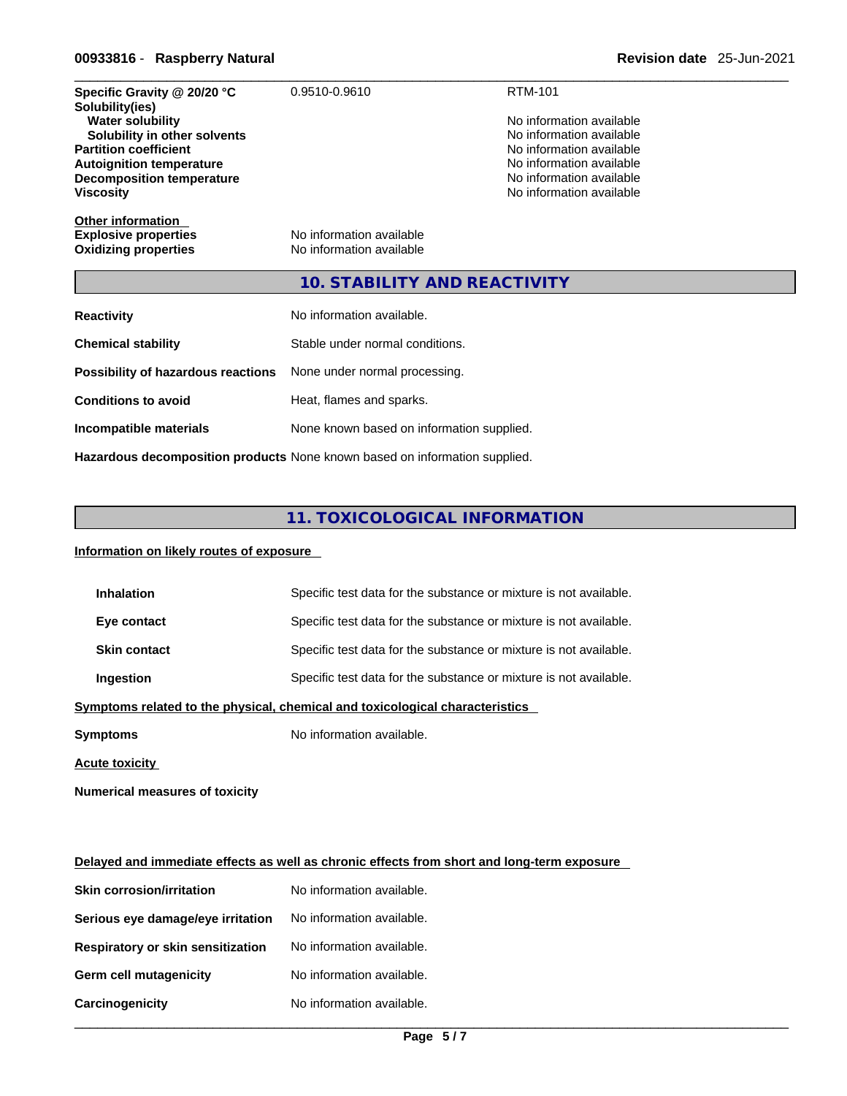# \_\_\_\_\_\_\_\_\_\_\_\_\_\_\_\_\_\_\_\_\_\_\_\_\_\_\_\_\_\_\_\_\_\_\_\_\_\_\_\_\_\_\_\_\_\_\_\_\_\_\_\_\_\_\_\_\_\_\_\_\_\_\_\_\_\_\_\_\_\_\_\_\_\_\_\_\_\_\_\_\_\_\_\_\_\_\_\_\_\_\_\_\_ **00933816** - **Raspberry Natural Revision date** 25-Jun-2021

| Specific Gravity @ 20/20 °C<br>Solubility(ies)<br><b>Water solubility</b><br>Solubility in other solvents<br><b>Partition coefficient</b><br><b>Autoignition temperature</b><br><b>Decomposition temperature</b><br><b>Viscosity</b> | 0.9510-0.9610                                                              | <b>RTM-101</b><br>No information available<br>No information available<br>No information available<br>No information available<br>No information available<br>No information available |
|--------------------------------------------------------------------------------------------------------------------------------------------------------------------------------------------------------------------------------------|----------------------------------------------------------------------------|----------------------------------------------------------------------------------------------------------------------------------------------------------------------------------------|
| <b>Other information</b><br><b>Explosive properties</b><br><b>Oxidizing properties</b>                                                                                                                                               | No information available<br>No information available                       |                                                                                                                                                                                        |
|                                                                                                                                                                                                                                      | <b>10. STABILITY AND REACTIVITY</b>                                        |                                                                                                                                                                                        |
| <b>Reactivity</b>                                                                                                                                                                                                                    | No information available.                                                  |                                                                                                                                                                                        |
| <b>Chemical stability</b>                                                                                                                                                                                                            | Stable under normal conditions.                                            |                                                                                                                                                                                        |
| Possibility of hazardous reactions                                                                                                                                                                                                   | None under normal processing.                                              |                                                                                                                                                                                        |
| <b>Conditions to avoid</b>                                                                                                                                                                                                           | Heat, flames and sparks.                                                   |                                                                                                                                                                                        |
| Incompatible materials                                                                                                                                                                                                               | None known based on information supplied.                                  |                                                                                                                                                                                        |
|                                                                                                                                                                                                                                      | Hazardous decomposition products None known based on information supplied. |                                                                                                                                                                                        |

# **11. TOXICOLOGICAL INFORMATION**

# **Information on likely routes of exposure**

| <b>Inhalation</b>     | Specific test data for the substance or mixture is not available.            |
|-----------------------|------------------------------------------------------------------------------|
| Eye contact           | Specific test data for the substance or mixture is not available.            |
| <b>Skin contact</b>   | Specific test data for the substance or mixture is not available.            |
| Ingestion             | Specific test data for the substance or mixture is not available.            |
|                       | Symptoms related to the physical, chemical and toxicological characteristics |
| <b>Symptoms</b>       | No information available.                                                    |
| <b>Acute toxicity</b> |                                                                              |

**Numerical measures of toxicity**

|                                          | Delayed and immediate effects as well as chronic effects from short and long-term exposure |
|------------------------------------------|--------------------------------------------------------------------------------------------|
| <b>Skin corrosion/irritation</b>         | No information available.                                                                  |
| Serious eye damage/eye irritation        | No information available.                                                                  |
| <b>Respiratory or skin sensitization</b> | No information available.                                                                  |
| <b>Germ cell mutagenicity</b>            | No information available.                                                                  |

**Carcinogenicity** No information available.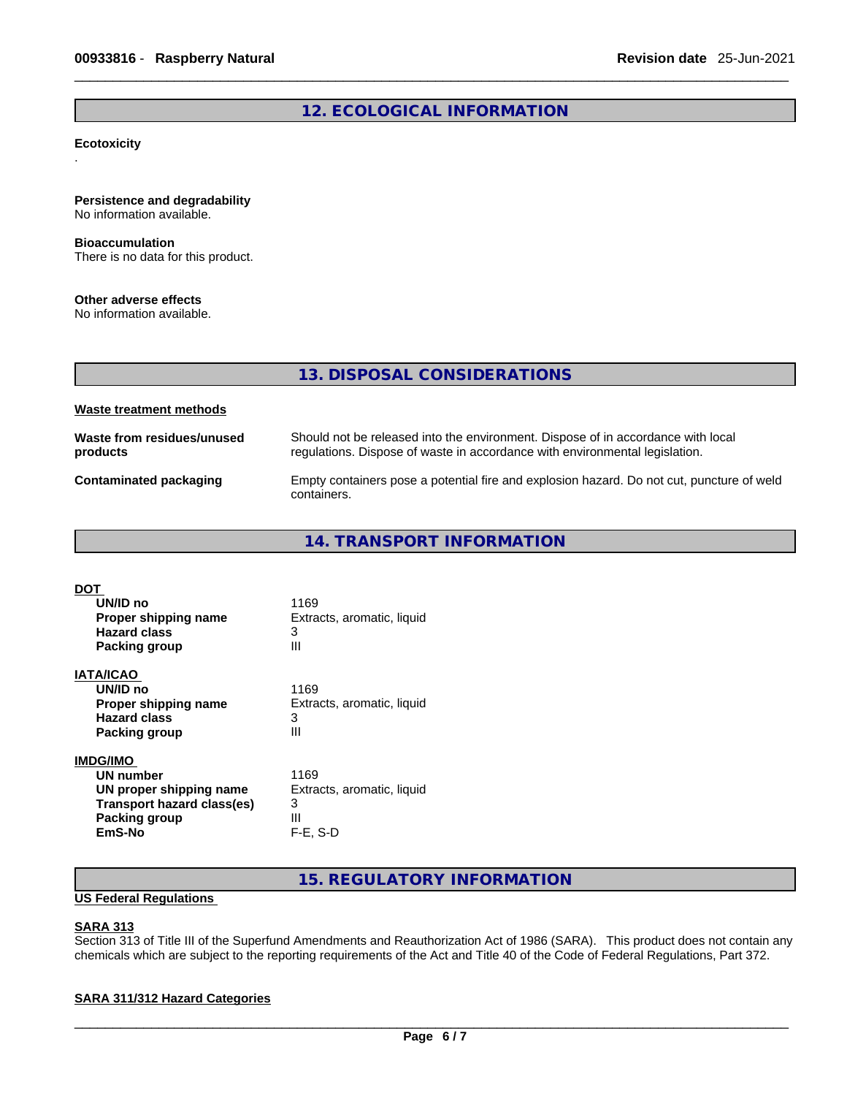# **12. ECOLOGICAL INFORMATION**

#### **Ecotoxicity** .

# **Persistence and degradability**

No information available.

## **Bioaccumulation**

There is no data for this product.

## **Other adverse effects**

No information available.

|                                        | 13. DISPOSAL CONSIDERATIONS                                                                                                                                     |
|----------------------------------------|-----------------------------------------------------------------------------------------------------------------------------------------------------------------|
| Waste treatment methods                |                                                                                                                                                                 |
| Waste from residues/unused<br>products | Should not be released into the environment. Dispose of in accordance with local<br>regulations. Dispose of waste in accordance with environmental legislation. |
| Contaminated packaging                 | Empty containers pose a potential fire and explosion hazard. Do not cut, puncture of weld<br>containers.                                                        |

**14. TRANSPORT INFORMATION** 

| DOT                        |                            |  |
|----------------------------|----------------------------|--|
| UN/ID no                   | 1169                       |  |
| Proper shipping name       | Extracts, aromatic, liquid |  |
| <b>Hazard class</b>        | 3                          |  |
| <b>Packing group</b>       | Ш                          |  |
| IATA/ICAO                  |                            |  |
| UN/ID no                   | 1169                       |  |
| Proper shipping name       | Extracts, aromatic, liquid |  |
| <b>Hazard class</b>        | 3                          |  |
| <b>Packing group</b>       | Ш                          |  |
| <b>IMDG/IMO</b>            |                            |  |
| UN number                  | 1169                       |  |
| UN proper shipping name    | Extracts, aromatic, liquid |  |
| Transport hazard class(es) | 3                          |  |
| Packing group              | Ш                          |  |
| EmS-No                     | $F-E. S-D$                 |  |

**15. REGULATORY INFORMATION** 

# **US Federal Regulations**

## **SARA 313**

Section 313 of Title III of the Superfund Amendments and Reauthorization Act of 1986 (SARA). This product does not contain any chemicals which are subject to the reporting requirements of the Act and Title 40 of the Code of Federal Regulations, Part 372.

# **SARA 311/312 Hazard Categories**